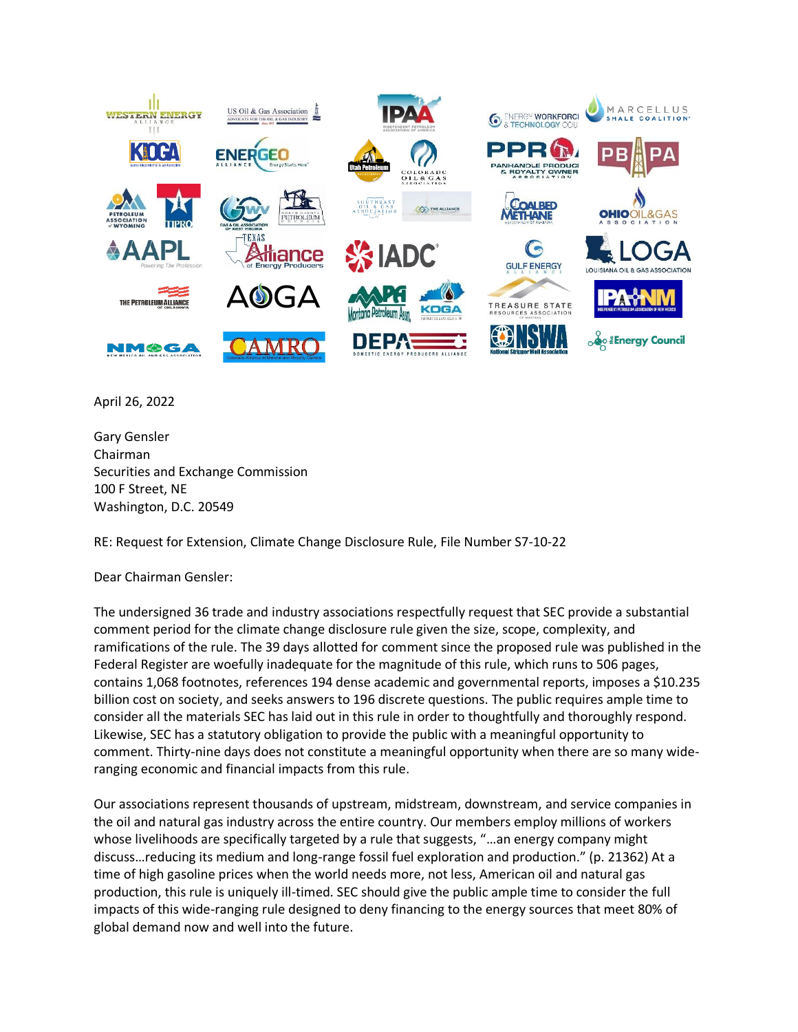

April 26, 2022

Gary Gensler Chairman Securities and Exchange Commission 100 F Street, NE Washington, D.C. 20549

RE: Request for Extension, Climate Change Disclosure Rule, File Number S7-10-22

Dear Chairman Gensler:

The undersigned 36 trade and industry associations respectfully request that SEC provide a substantial comment period for the climate change disclosure rule given the size, scope, complexity, and ramifications of the rule. The 39 days allotted for comment since the proposed rule was published in the Federal Register are woefully inadequate for the magnitude of this rule, which runs to 506 pages, contains 1,068 footnotes, references 194 dense academic and governmental reports, imposes a \$10.235 billion cost on society, and seeks answers to 196 discrete questions. The public requires ample time to consider all the materials SEC has laid out in this rule in order to thoughtfully and thoroughly respond. Likewise, SEC has a statutory obligation to provide the public with a meaningful opportunity to comment. Thirty-nine days does not constitute a meaningful opportunity when there are so many wideranging economic and financial impacts from this rule.

Our associations represent thousands of upstream, midstream, downstream, and service companies in the oil and natural gas industry across the entire country. Our members employ millions of workers whose livelihoods are specifically targeted by a rule that suggests, "…an energy company might discuss…reducing its medium and long-range fossil fuel exploration and production." (p. 21362) At a time of high gasoline prices when the world needs more, not less, American oil and natural gas production, this rule is uniquely ill-timed. SEC should give the public ample time to consider the full impacts of this wide-ranging rule designed to deny financing to the energy sources that meet 80% of global demand now and well into the future.